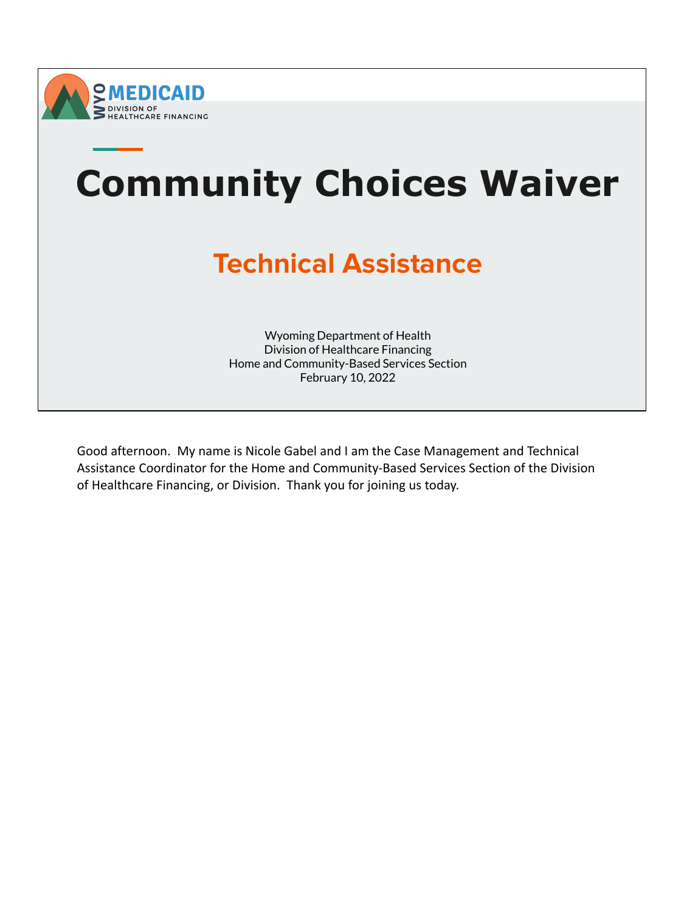



Good afternoon. My name is Nicole Gabel and I am the Case Management and Technical Assistance Coordinator for the Home and Community-Based Services Section of the Division of Healthcare Financing, or Division. Thank you for joining us today.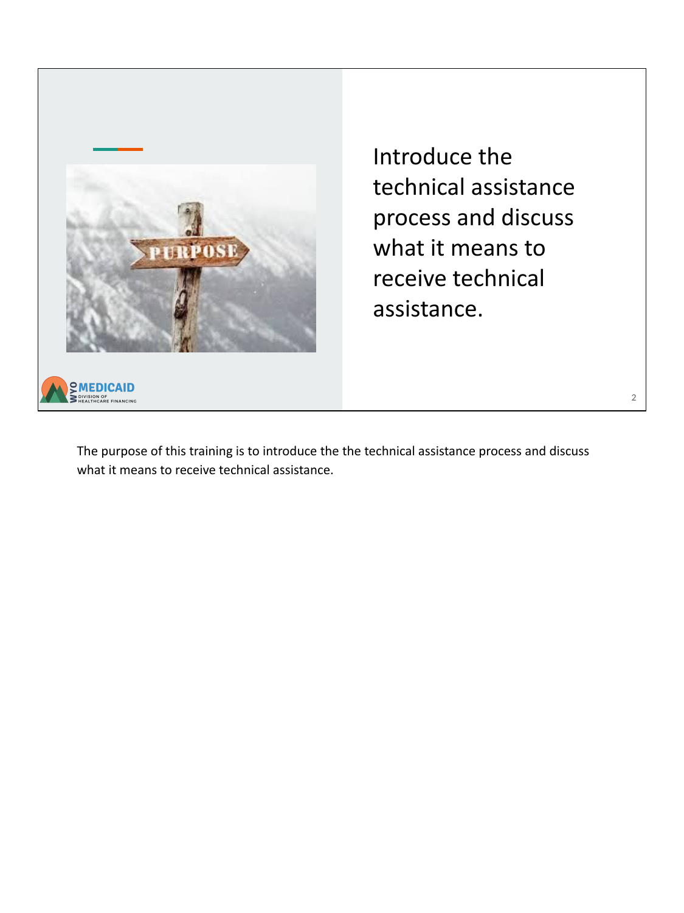

Introduce the technical assistance process and discuss what it means to receive technical assistance.

The purpose of this training is to introduce the the technical assistance process and discuss what it means to receive technical assistance.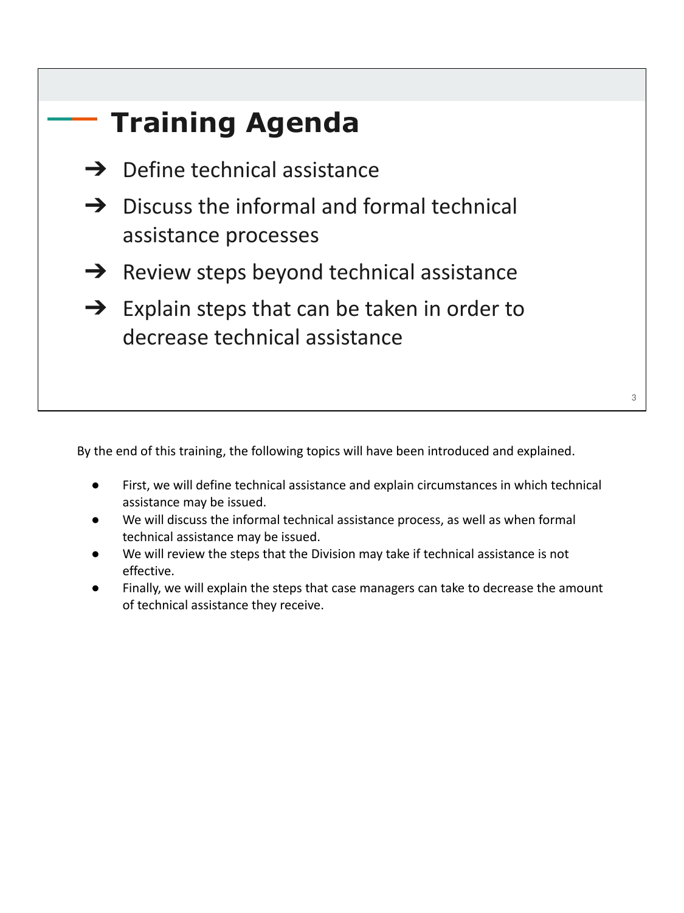

By the end of this training, the following topics will have been introduced and explained.

- First, we will define technical assistance and explain circumstances in which technical assistance may be issued.
- We will discuss the informal technical assistance process, as well as when formal technical assistance may be issued.
- We will review the steps that the Division may take if technical assistance is not effective.
- Finally, we will explain the steps that case managers can take to decrease the amount of technical assistance they receive.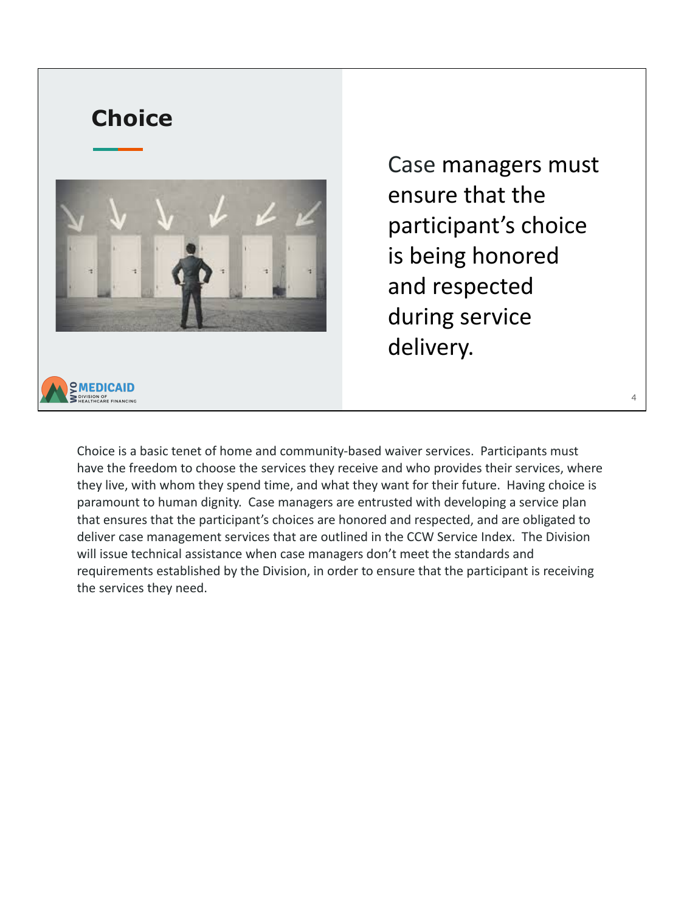

Case managers must ensure that the participant's choice is being honored and respected during service delivery.

4

Choice is a basic tenet of home and community-based waiver services. Participants must have the freedom to choose the services they receive and who provides their services, where they live, with whom they spend time, and what they want for their future. Having choice is paramount to human dignity. Case managers are entrusted with developing a service plan that ensures that the participant's choices are honored and respected, and are obligated to deliver case management services that are outlined in the CCW Service Index. The Division will issue technical assistance when case managers don't meet the standards and requirements established by the Division, in order to ensure that the participant is receiving the services they need.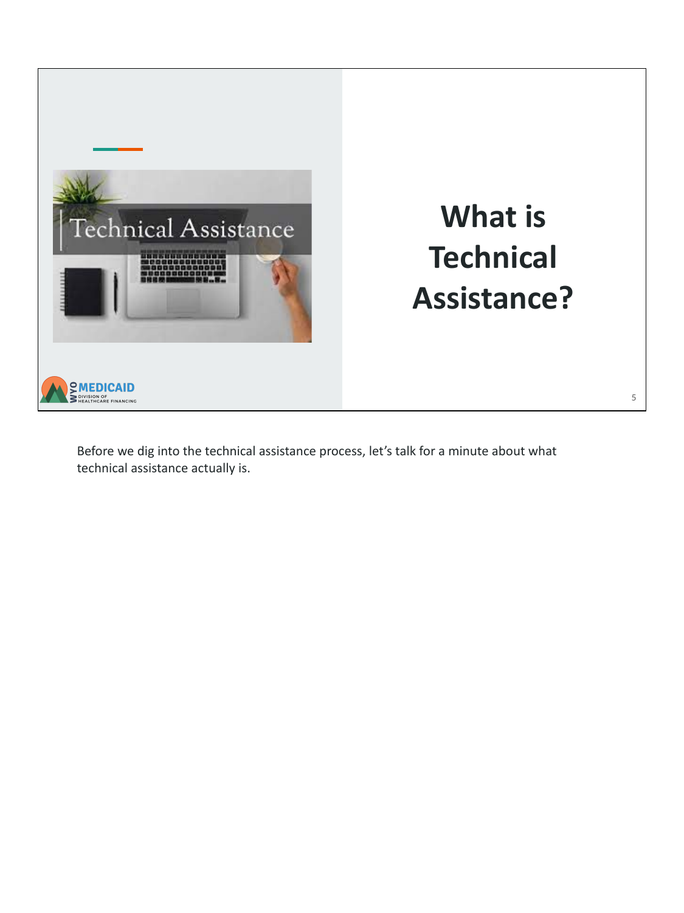

Before we dig into the technical assistance process, let's talk for a minute about what technical assistance actually is.

5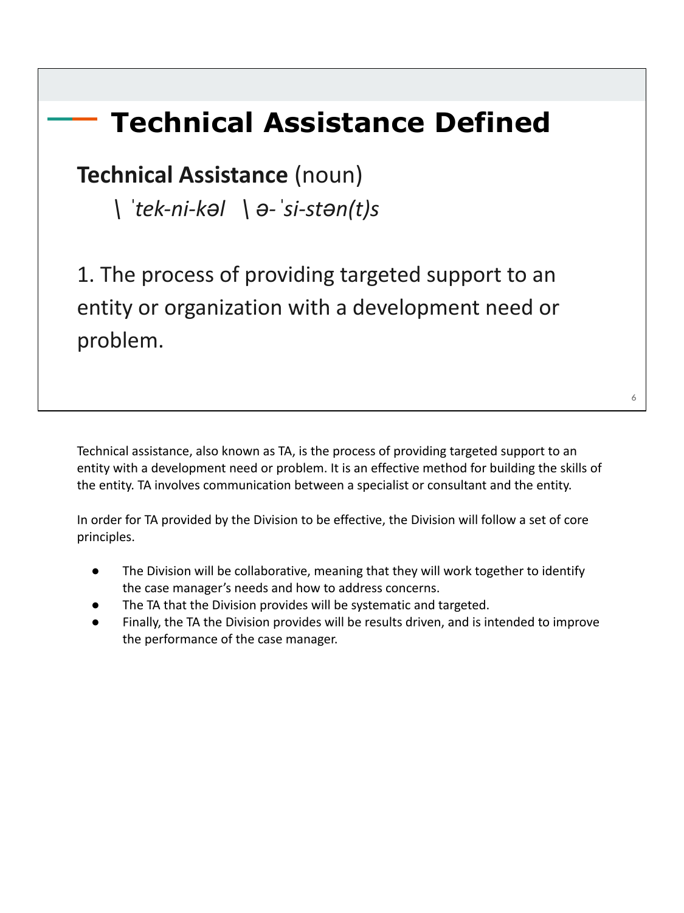#### **Technical Assistance Defined**

#### **Technical Assistance** (noun)

 *\ ˈtek-ni-kəl \ ə-ˈsi-stən(t)s*

1. The process of providing targeted support to an entity or organization with a development need or problem.

Technical assistance, also known as TA, is the process of providing targeted support to an entity with a development need or problem. It is an effective method for building the skills of the entity. TA involves communication between a specialist or consultant and the entity.

In order for TA provided by the Division to be effective, the Division will follow a set of core principles.

- The Division will be collaborative, meaning that they will work together to identify the case manager's needs and how to address concerns.
- The TA that the Division provides will be systematic and targeted.
- Finally, the TA the Division provides will be results driven, and is intended to improve the performance of the case manager.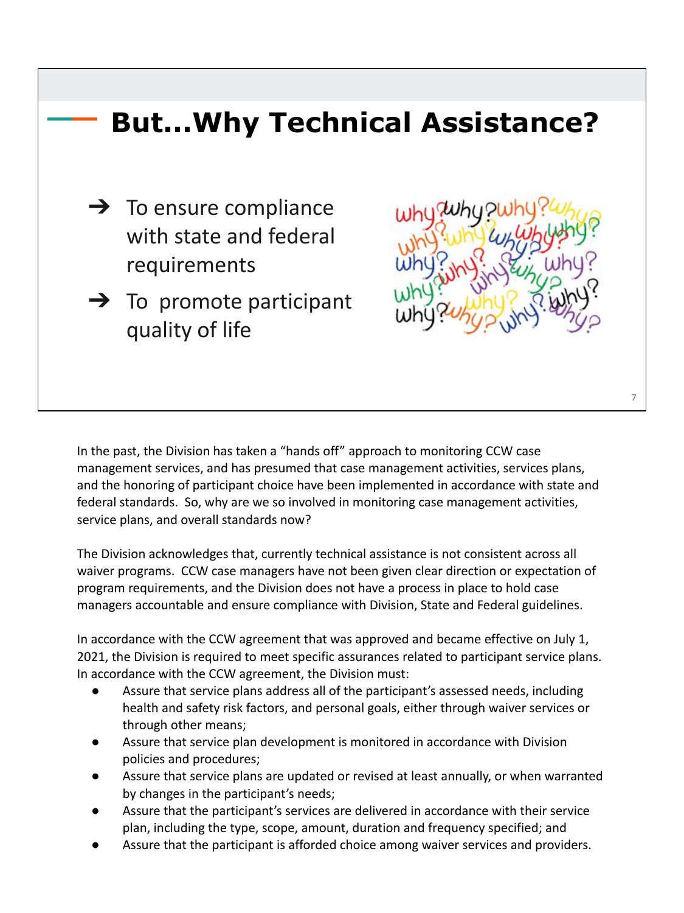

In the past, the Division has taken a "hands off" approach to monitoring CCW case management services, and has presumed that case management activities, services plans, and the honoring of participant choice have been implemented in accordance with state and federal standards. So, why are we so involved in monitoring case management activities, service plans, and overall standards now?

The Division acknowledges that, currently technical assistance is not consistent across all waiver programs. CCW case managers have not been given clear direction or expectation of program requirements, and the Division does not have a process in place to hold case managers accountable and ensure compliance with Division, State and Federal guidelines.

In accordance with the CCW agreement that was approved and became effective on July 1, 2021, the Division is required to meet specific assurances related to participant service plans. In accordance with the CCW agreement, the Division must:

- Assure that service plans address all of the participant's assessed needs, including health and safety risk factors, and personal goals, either through waiver services or through other means;
- Assure that service plan development is monitored in accordance with Division policies and procedures;
- Assure that service plans are updated or revised at least annually, or when warranted by changes in the participant's needs;
- Assure that the participant's services are delivered in accordance with their service plan, including the type, scope, amount, duration and frequency specified; and
- Assure that the participant is afforded choice among waiver services and providers.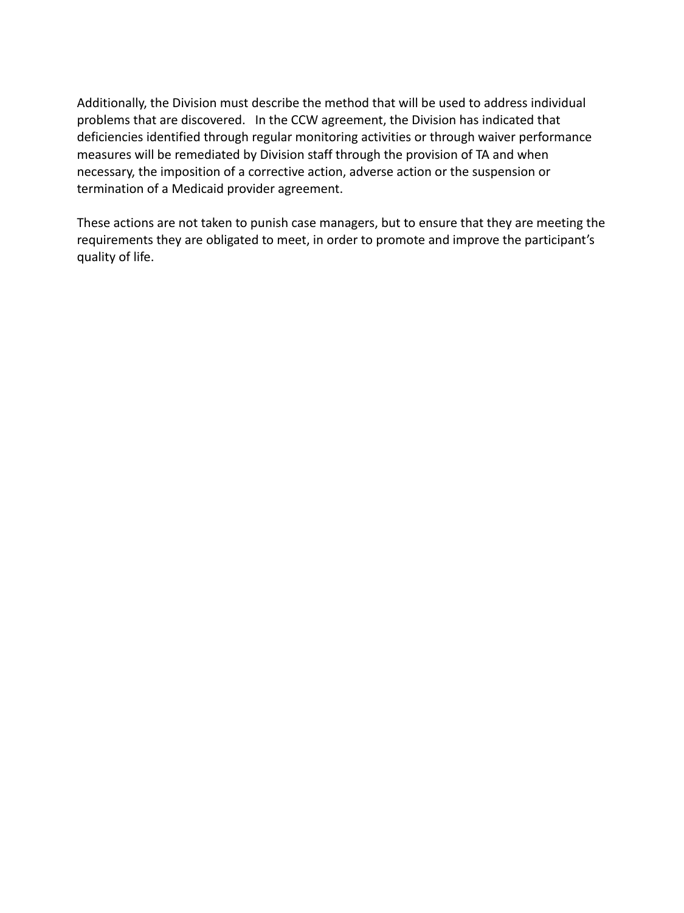Additionally, the Division must describe the method that will be used to address individual problems that are discovered. In the CCW agreement, the Division has indicated that deficiencies identified through regular monitoring activities or through waiver performance measures will be remediated by Division staff through the provision of TA and when necessary, the imposition of a corrective action, adverse action or the suspension or termination of a Medicaid provider agreement.

These actions are not taken to punish case managers, but to ensure that they are meeting the requirements they are obligated to meet, in order to promote and improve the participant's quality of life.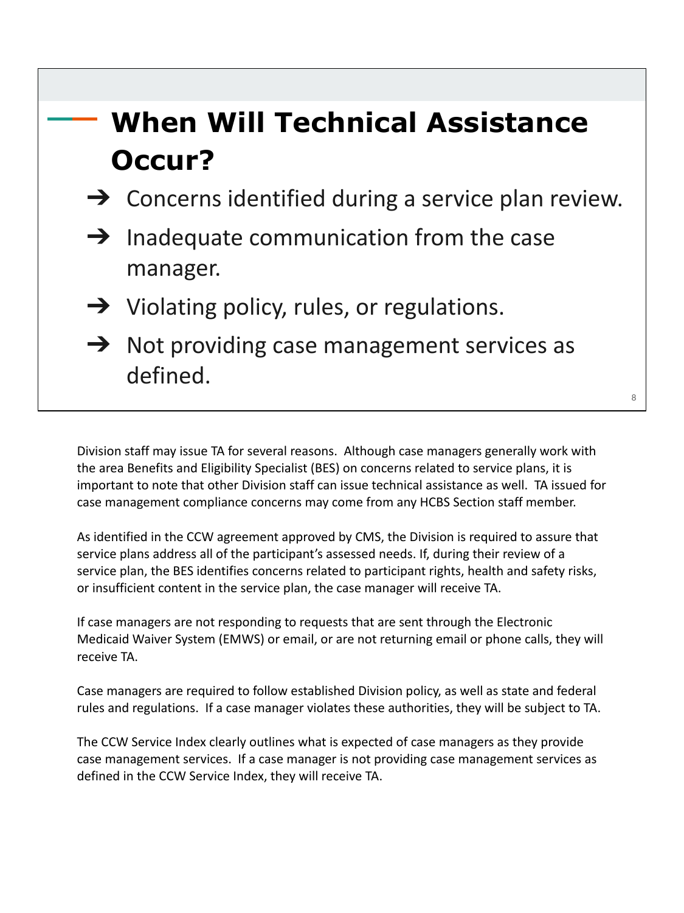#### **When Will Technical Assistance Occur?**

- $\rightarrow$  Concerns identified during a service plan review.
- $\rightarrow$  Inadequate communication from the case manager.
- $\rightarrow$  Violating policy, rules, or regulations.
- $\rightarrow$  Not providing case management services as defined.

Division staff may issue TA for several reasons. Although case managers generally work with the area Benefits and Eligibility Specialist (BES) on concerns related to service plans, it is important to note that other Division staff can issue technical assistance as well. TA issued for case management compliance concerns may come from any HCBS Section staff member.

As identified in the CCW agreement approved by CMS, the Division is required to assure that service plans address all of the participant's assessed needs. If, during their review of a service plan, the BES identifies concerns related to participant rights, health and safety risks, or insufficient content in the service plan, the case manager will receive TA.

If case managers are not responding to requests that are sent through the Electronic Medicaid Waiver System (EMWS) or email, or are not returning email or phone calls, they will receive TA.

Case managers are required to follow established Division policy, as well as state and federal rules and regulations. If a case manager violates these authorities, they will be subject to TA.

The CCW Service Index clearly outlines what is expected of case managers as they provide case management services. If a case manager is not providing case management services as defined in the CCW Service Index, they will receive TA.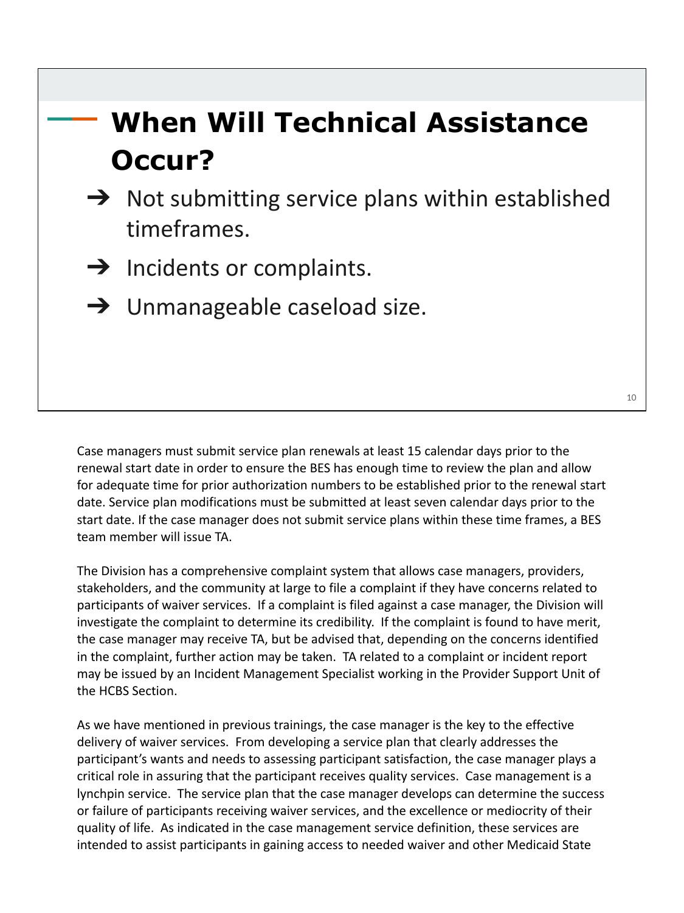### **When Will Technical Assistance Occur?**

- $\rightarrow$  Not submitting service plans within established timeframes.
- $\rightarrow$  Incidents or complaints.
- $\rightarrow$  Unmanageable caseload size.

Case managers must submit service plan renewals at least 15 calendar days prior to the renewal start date in order to ensure the BES has enough time to review the plan and allow for adequate time for prior authorization numbers to be established prior to the renewal start date. Service plan modifications must be submitted at least seven calendar days prior to the start date. If the case manager does not submit service plans within these time frames, a BES team member will issue TA.

The Division has a comprehensive complaint system that allows case managers, providers, stakeholders, and the community at large to file a complaint if they have concerns related to participants of waiver services. If a complaint is filed against a case manager, the Division will investigate the complaint to determine its credibility. If the complaint is found to have merit, the case manager may receive TA, but be advised that, depending on the concerns identified in the complaint, further action may be taken. TA related to a complaint or incident report may be issued by an Incident Management Specialist working in the Provider Support Unit of the HCBS Section.

As we have mentioned in previous trainings, the case manager is the key to the effective delivery of waiver services. From developing a service plan that clearly addresses the participant's wants and needs to assessing participant satisfaction, the case manager plays a critical role in assuring that the participant receives quality services. Case management is a lynchpin service. The service plan that the case manager develops can determine the success or failure of participants receiving waiver services, and the excellence or mediocrity of their quality of life. As indicated in the case management service definition, these services are intended to assist participants in gaining access to needed waiver and other Medicaid State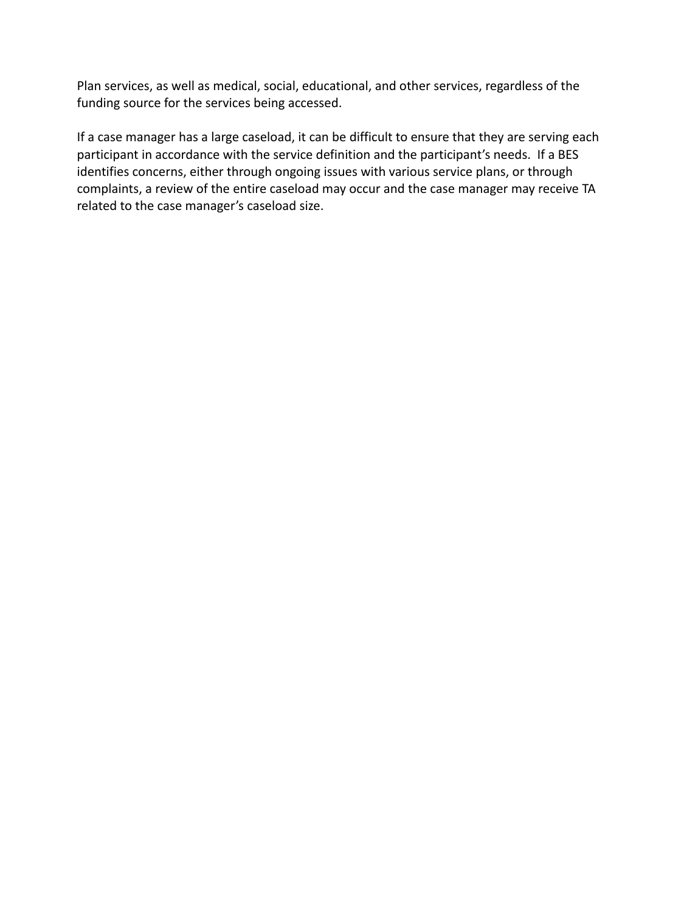Plan services, as well as medical, social, educational, and other services, regardless of the funding source for the services being accessed.

If a case manager has a large caseload, it can be difficult to ensure that they are serving each participant in accordance with the service definition and the participant's needs. If a BES identifies concerns, either through ongoing issues with various service plans, or through complaints, a review of the entire caseload may occur and the case manager may receive TA related to the case manager's caseload size.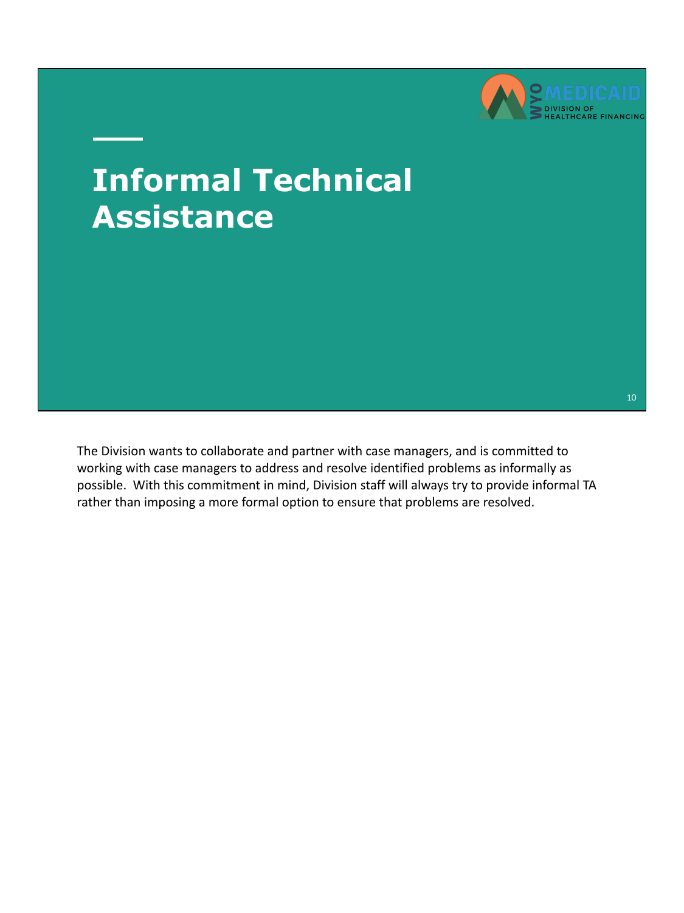

## **Informal Technical Assistance**

The Division wants to collaborate and partner with case managers, and is committed to working with case managers to address and resolve identified problems as informally as possible. With this commitment in mind, Division staff will always try to provide informal TA rather than imposing a more formal option to ensure that problems are resolved.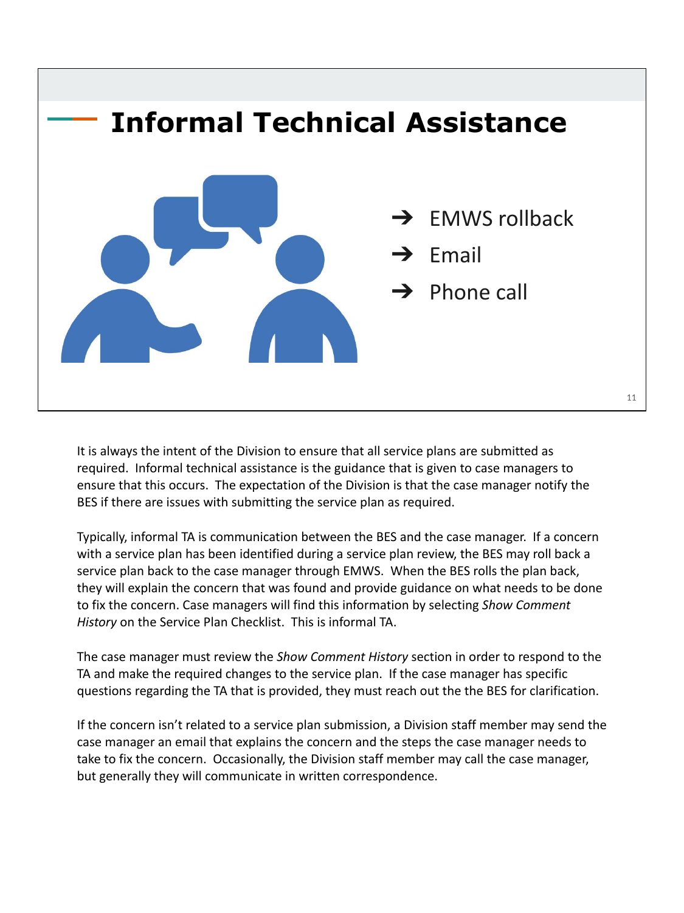

It is always the intent of the Division to ensure that all service plans are submitted as required. Informal technical assistance is the guidance that is given to case managers to ensure that this occurs. The expectation of the Division is that the case manager notify the BES if there are issues with submitting the service plan as required.

Typically, informal TA is communication between the BES and the case manager. If a concern with a service plan has been identified during a service plan review, the BES may roll back a service plan back to the case manager through EMWS. When the BES rolls the plan back, they will explain the concern that was found and provide guidance on what needs to be done to fix the concern. Case managers will find this information by selecting *Show Comment History* on the Service Plan Checklist. This is informal TA.

The case manager must review the *Show Comment History* section in order to respond to the TA and make the required changes to the service plan. If the case manager has specific questions regarding the TA that is provided, they must reach out the the BES for clarification.

If the concern isn't related to a service plan submission, a Division staff member may send the case manager an email that explains the concern and the steps the case manager needs to take to fix the concern. Occasionally, the Division staff member may call the case manager, but generally they will communicate in written correspondence.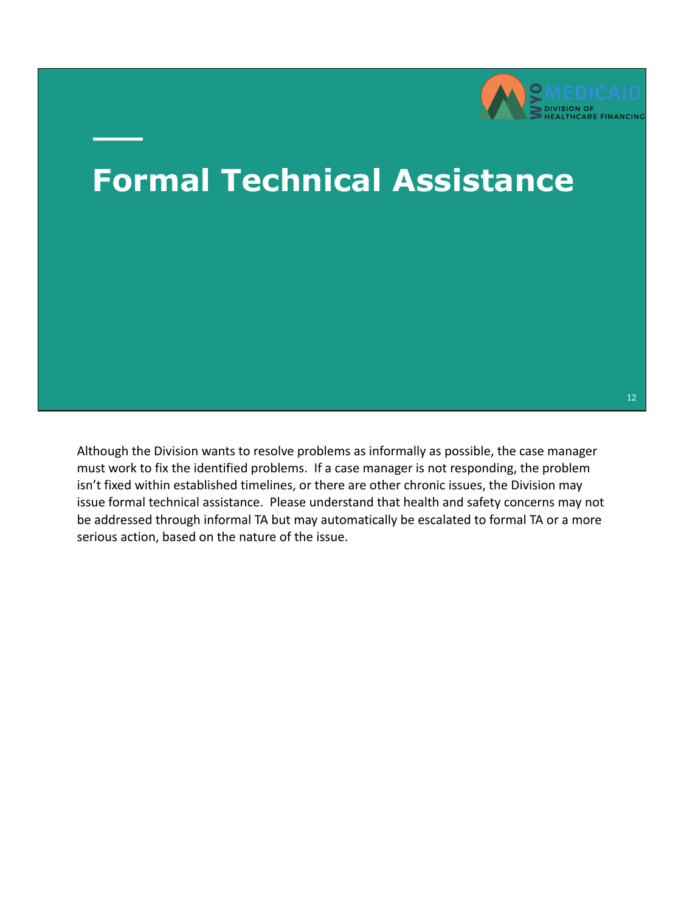

12

#### **Formal Technical Assistance**

Although the Division wants to resolve problems as informally as possible, the case manager must work to fix the identified problems. If a case manager is not responding, the problem isn't fixed within established timelines, or there are other chronic issues, the Division may issue formal technical assistance. Please understand that health and safety concerns may not be addressed through informal TA but may automatically be escalated to formal TA or a more serious action, based on the nature of the issue.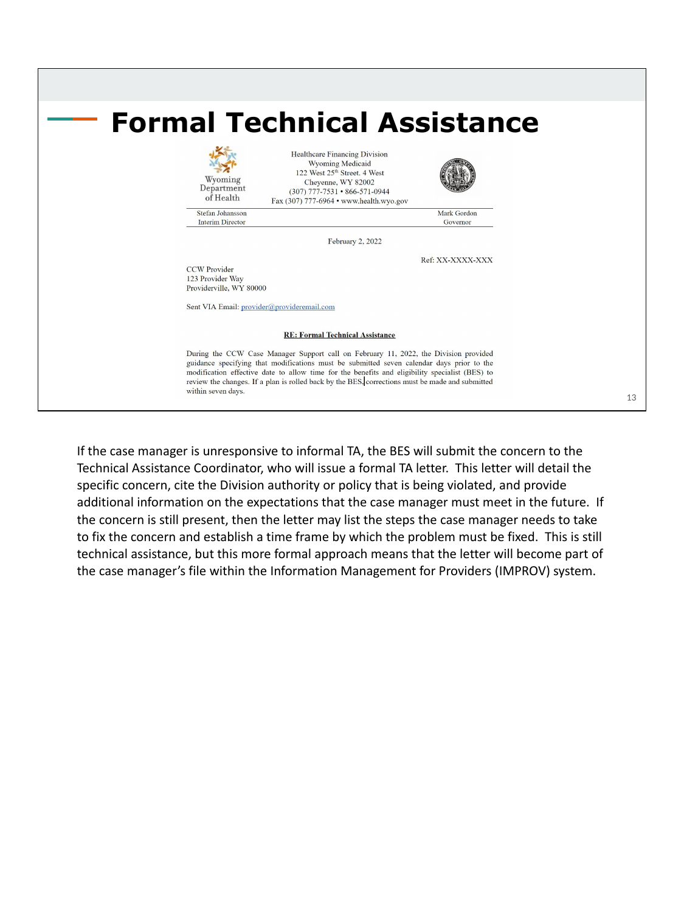

If the case manager is unresponsive to informal TA, the BES will submit the concern to the Technical Assistance Coordinator, who will issue a formal TA letter. This letter will detail the specific concern, cite the Division authority or policy that is being violated, and provide additional information on the expectations that the case manager must meet in the future. If the concern is still present, then the letter may list the steps the case manager needs to take to fix the concern and establish a time frame by which the problem must be fixed. This is still technical assistance, but this more formal approach means that the letter will become part of the case manager's file within the Information Management for Providers (IMPROV) system.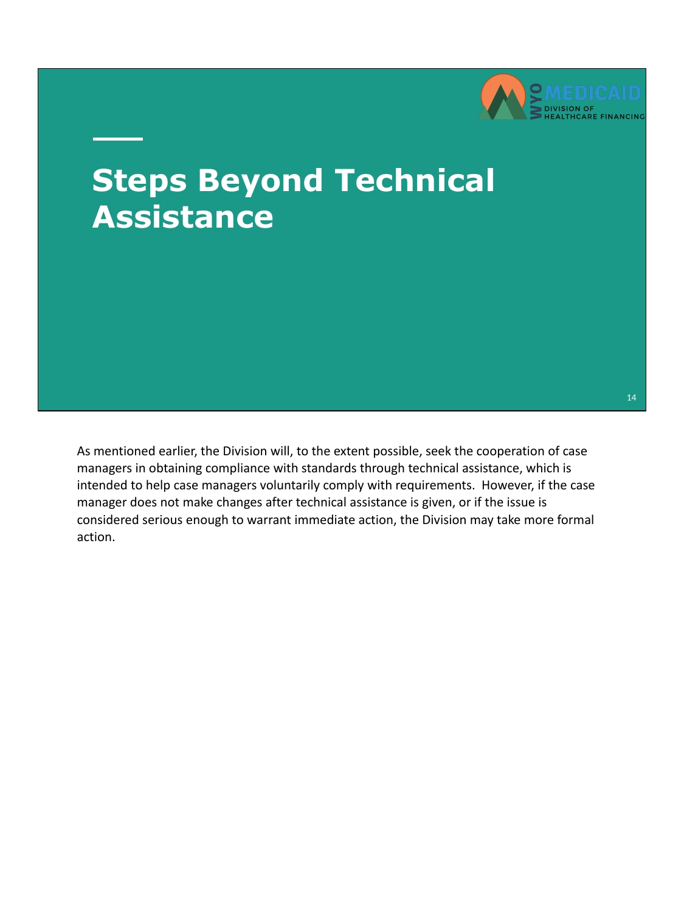

### **Steps Beyond Technical Assistance**

As mentioned earlier, the Division will, to the extent possible, seek the cooperation of case managers in obtaining compliance with standards through technical assistance, which is intended to help case managers voluntarily comply with requirements. However, if the case manager does not make changes after technical assistance is given, or if the issue is considered serious enough to warrant immediate action, the Division may take more formal action.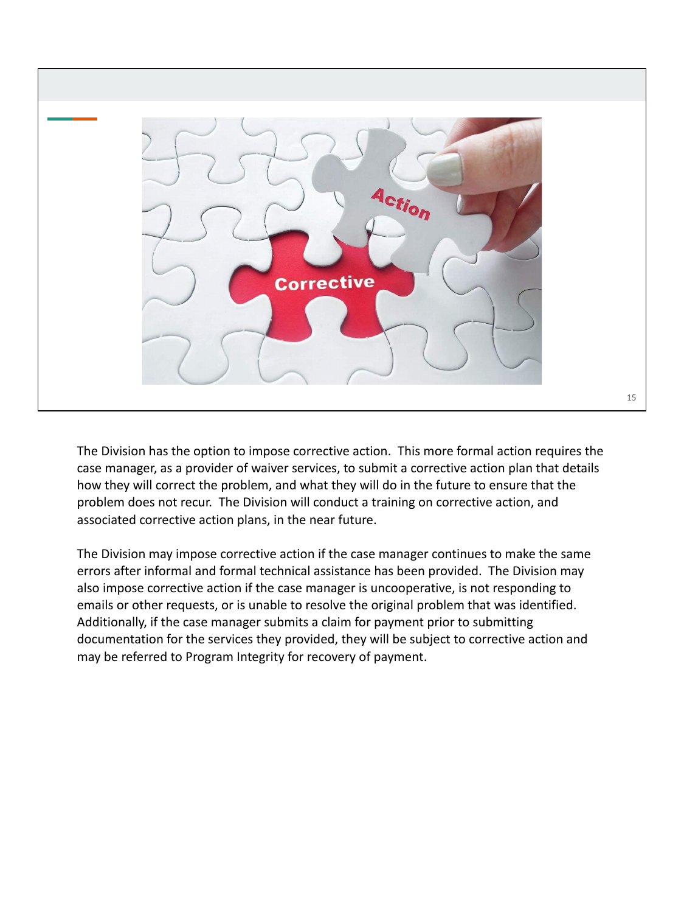

The Division has the option to impose corrective action. This more formal action requires the case manager, as a provider of waiver services, to submit a corrective action plan that details how they will correct the problem, and what they will do in the future to ensure that the problem does not recur. The Division will conduct a training on corrective action, and associated corrective action plans, in the near future.

The Division may impose corrective action if the case manager continues to make the same errors after informal and formal technical assistance has been provided. The Division may also impose corrective action if the case manager is uncooperative, is not responding to emails or other requests, or is unable to resolve the original problem that was identified. Additionally, if the case manager submits a claim for payment prior to submitting documentation for the services they provided, they will be subject to corrective action and may be referred to Program Integrity for recovery of payment.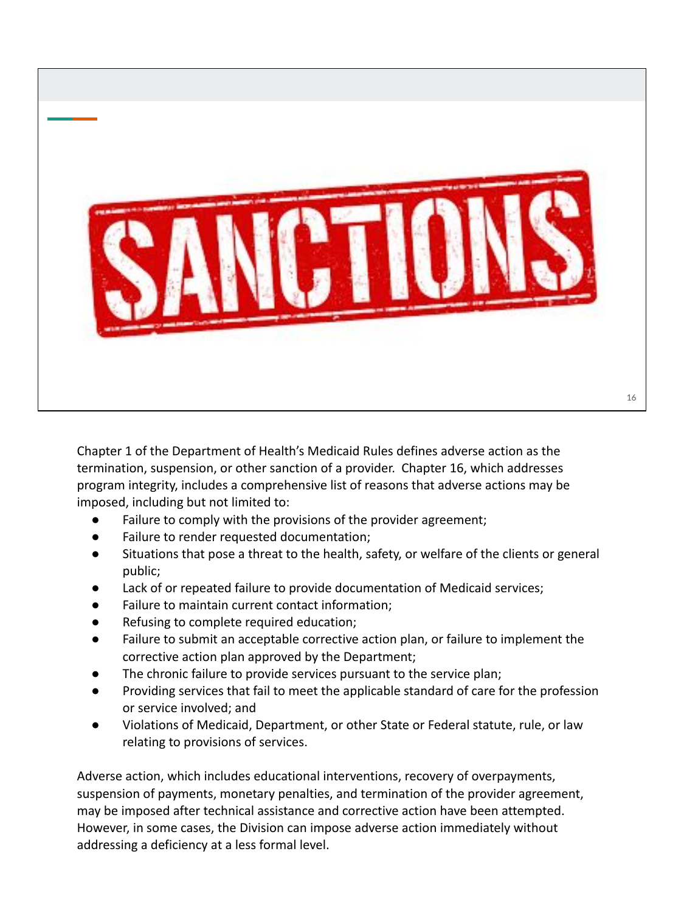

Chapter 1 of the Department of Health's Medicaid Rules defines adverse action as the termination, suspension, or other sanction of a provider. Chapter 16, which addresses program integrity, includes a comprehensive list of reasons that adverse actions may be imposed, including but not limited to:

- Failure to comply with the provisions of the provider agreement;
- Failure to render requested documentation;
- Situations that pose a threat to the health, safety, or welfare of the clients or general public;
- Lack of or repeated failure to provide documentation of Medicaid services;
- Failure to maintain current contact information;
- Refusing to complete required education;
- Failure to submit an acceptable corrective action plan, or failure to implement the corrective action plan approved by the Department;
- The chronic failure to provide services pursuant to the service plan;
- Providing services that fail to meet the applicable standard of care for the profession or service involved; and
- Violations of Medicaid, Department, or other State or Federal statute, rule, or law relating to provisions of services.

Adverse action, which includes educational interventions, recovery of overpayments, suspension of payments, monetary penalties, and termination of the provider agreement, may be imposed after technical assistance and corrective action have been attempted. However, in some cases, the Division can impose adverse action immediately without addressing a deficiency at a less formal level.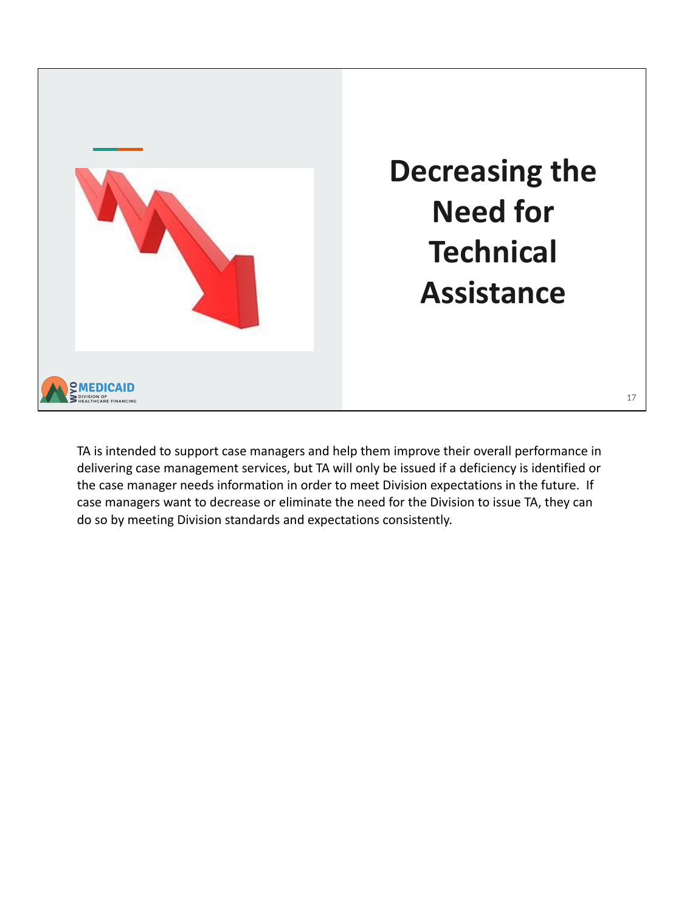

TA is intended to support case managers and help them improve their overall performance in delivering case management services, but TA will only be issued if a deficiency is identified or the case manager needs information in order to meet Division expectations in the future. If case managers want to decrease or eliminate the need for the Division to issue TA, they can do so by meeting Division standards and expectations consistently.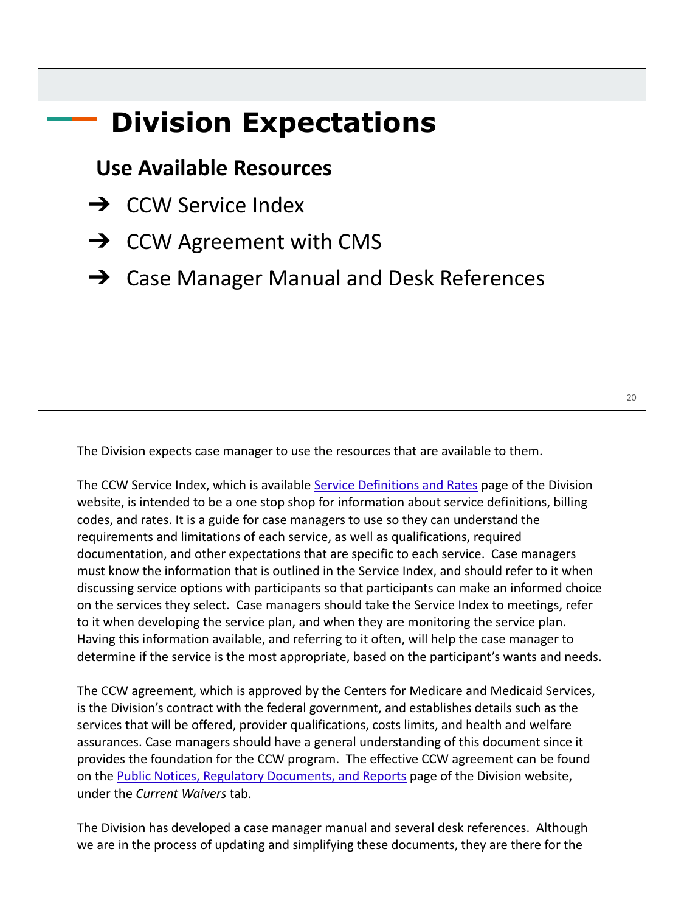# **Division Expectations Use Available Resources → CCW Service Index**  $\rightarrow$  CCW Agreement with CMS **→** Case Manager Manual and Desk References

The Division expects case manager to use the resources that are available to them.

The CCW Service Index, which is available [Service Definitions and Rates](https://health.wyo.gov/healthcarefin/hcbs/servicesandrates/) page of the Division website, is intended to be a one stop shop for information about service definitions, billing codes, and rates. It is a guide for case managers to use so they can understand the requirements and limitations of each service, as well as qualifications, required documentation, and other expectations that are specific to each service. Case managers must know the information that is outlined in the Service Index, and should refer to it when discussing service options with participants so that participants can make an informed choice on the services they select. Case managers should take the Service Index to meetings, refer to it when developing the service plan, and when they are monitoring the service plan. Having this information available, and referring to it often, will help the case manager to determine if the service is the most appropriate, based on the participant's wants and needs.

The CCW agreement, which is approved by the Centers for Medicare and Medicaid Services, is the Division's contract with the federal government, and establishes details such as the services that will be offered, provider qualifications, costs limits, and health and welfare assurances. Case managers should have a general understanding of this document since it provides the foundation for the CCW program. The effective CCW agreement can be found on the **Public Notices, Regulatory Documents, and Reports** page of the Division website, under the *Current Waivers* tab.

The Division has developed a case manager manual and several desk references. Although we are in the process of updating and simplifying these documents, they are there for the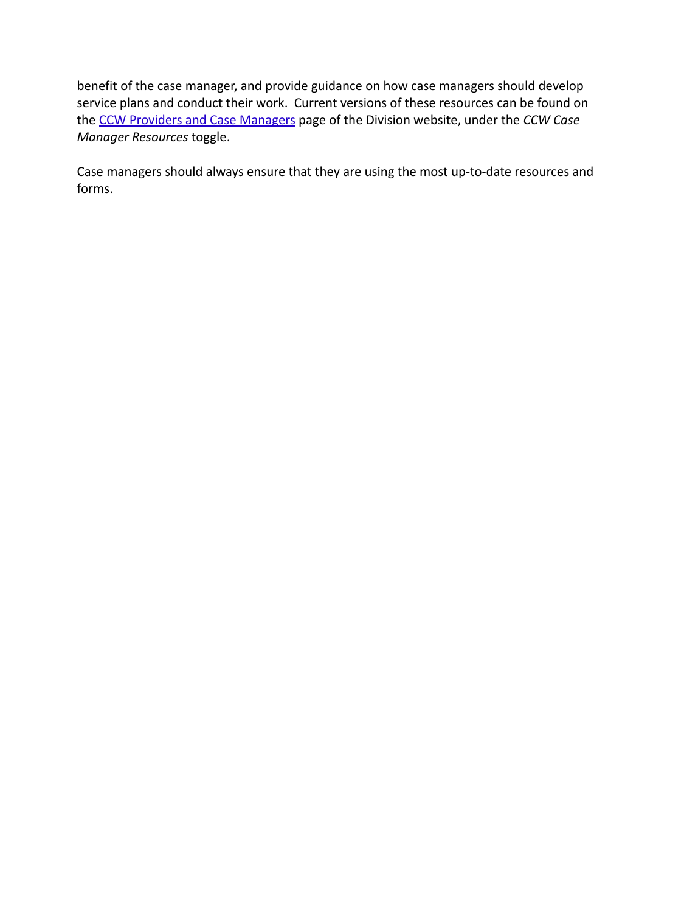benefit of the case manager, and provide guidance on how case managers should develop service plans and conduct their work. Current versions of these resources can be found on the [CCW Providers and Case Managers](https://health.wyo.gov/healthcarefin/hcbs/ccw-providers-and-case-managers/) page of the Division website, under the *CCW Case Manager Resources* toggle.

Case managers should always ensure that they are using the most up-to-date resources and forms.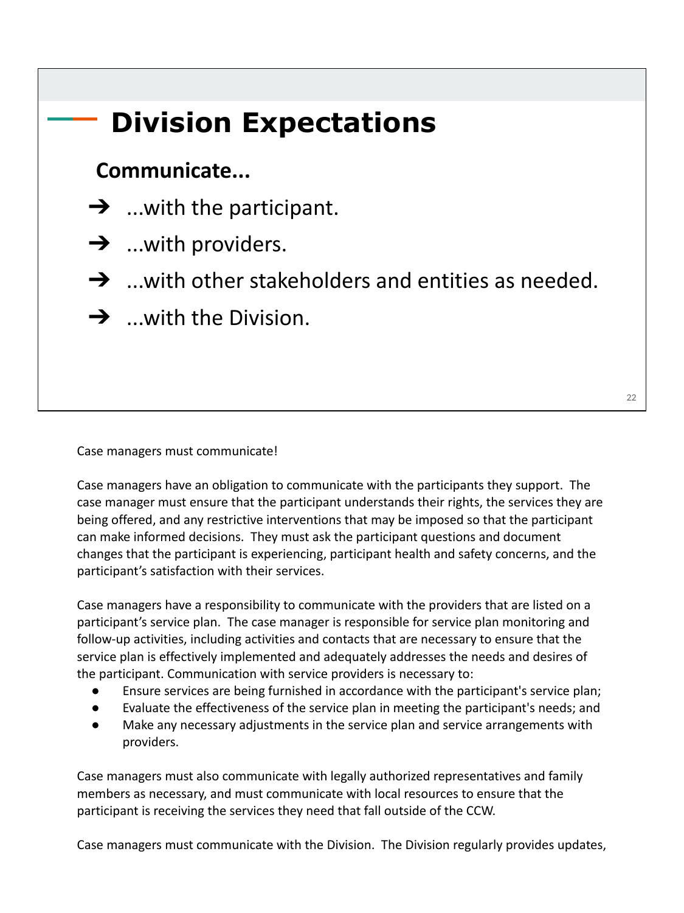#### **Division Expectations**

#### **Communicate...**

- $\rightarrow$  ...with the participant.
- $\rightarrow$  ...with providers.
- $\rightarrow$  ...with other stakeholders and entities as needed.
- $\rightarrow$  ...with the Division.

Case managers must communicate!

Case managers have an obligation to communicate with the participants they support. The case manager must ensure that the participant understands their rights, the services they are being offered, and any restrictive interventions that may be imposed so that the participant can make informed decisions. They must ask the participant questions and document changes that the participant is experiencing, participant health and safety concerns, and the participant's satisfaction with their services.

Case managers have a responsibility to communicate with the providers that are listed on a participant's service plan. The case manager is responsible for service plan monitoring and follow-up activities, including activities and contacts that are necessary to ensure that the service plan is effectively implemented and adequately addresses the needs and desires of the participant. Communication with service providers is necessary to:

- Ensure services are being furnished in accordance with the participant's service plan;
- Evaluate the effectiveness of the service plan in meeting the participant's needs; and
- Make any necessary adjustments in the service plan and service arrangements with providers.

Case managers must also communicate with legally authorized representatives and family members as necessary, and must communicate with local resources to ensure that the participant is receiving the services they need that fall outside of the CCW.

Case managers must communicate with the Division. The Division regularly provides updates,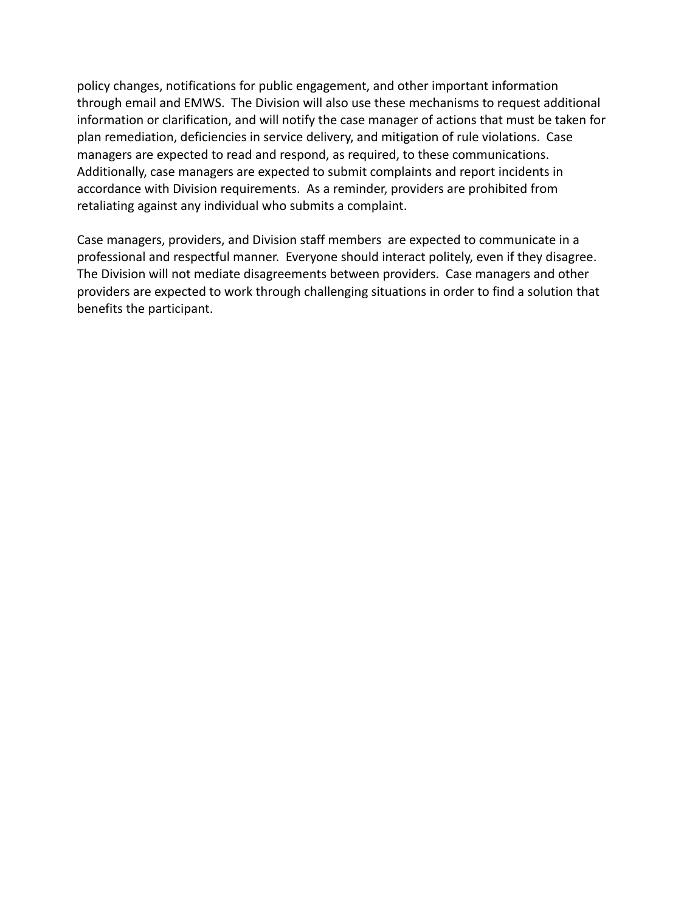policy changes, notifications for public engagement, and other important information through email and EMWS. The Division will also use these mechanisms to request additional information or clarification, and will notify the case manager of actions that must be taken for plan remediation, deficiencies in service delivery, and mitigation of rule violations. Case managers are expected to read and respond, as required, to these communications. Additionally, case managers are expected to submit complaints and report incidents in accordance with Division requirements. As a reminder, providers are prohibited from retaliating against any individual who submits a complaint.

Case managers, providers, and Division staff members are expected to communicate in a professional and respectful manner. Everyone should interact politely, even if they disagree. The Division will not mediate disagreements between providers. Case managers and other providers are expected to work through challenging situations in order to find a solution that benefits the participant.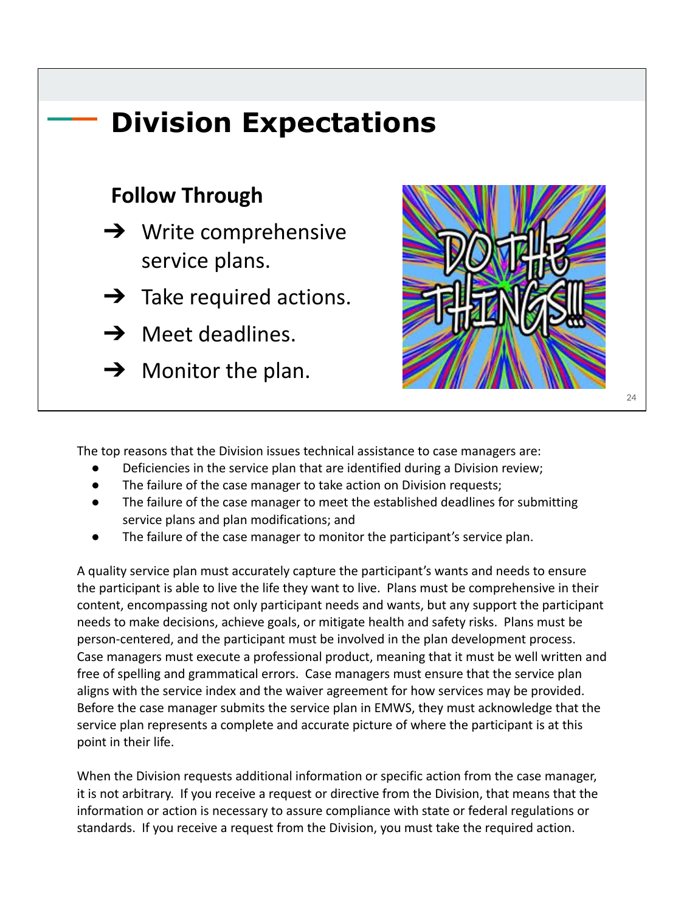

The top reasons that the Division issues technical assistance to case managers are:

- Deficiencies in the service plan that are identified during a Division review;
- The failure of the case manager to take action on Division requests;
- The failure of the case manager to meet the established deadlines for submitting service plans and plan modifications; and
- The failure of the case manager to monitor the participant's service plan.

A quality service plan must accurately capture the participant's wants and needs to ensure the participant is able to live the life they want to live. Plans must be comprehensive in their content, encompassing not only participant needs and wants, but any support the participant needs to make decisions, achieve goals, or mitigate health and safety risks. Plans must be person-centered, and the participant must be involved in the plan development process. Case managers must execute a professional product, meaning that it must be well written and free of spelling and grammatical errors. Case managers must ensure that the service plan aligns with the service index and the waiver agreement for how services may be provided. Before the case manager submits the service plan in EMWS, they must acknowledge that the service plan represents a complete and accurate picture of where the participant is at this point in their life.

When the Division requests additional information or specific action from the case manager, it is not arbitrary. If you receive a request or directive from the Division, that means that the information or action is necessary to assure compliance with state or federal regulations or standards. If you receive a request from the Division, you must take the required action.

 $24$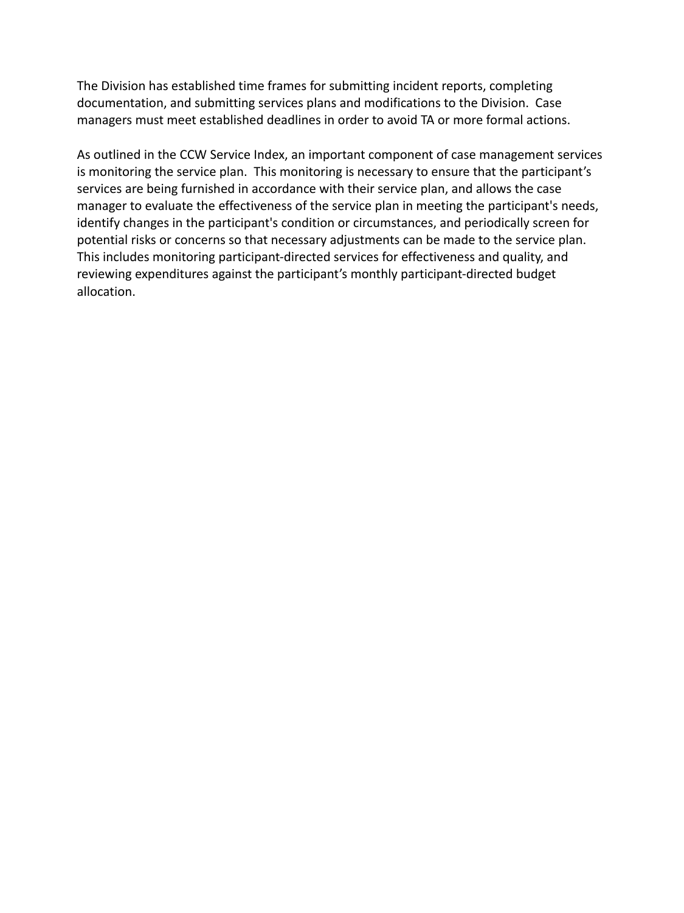The Division has established time frames for submitting incident reports, completing documentation, and submitting services plans and modifications to the Division. Case managers must meet established deadlines in order to avoid TA or more formal actions.

As outlined in the CCW Service Index, an important component of case management services is monitoring the service plan. This monitoring is necessary to ensure that the participant's services are being furnished in accordance with their service plan, and allows the case manager to evaluate the effectiveness of the service plan in meeting the participant's needs, identify changes in the participant's condition or circumstances, and periodically screen for potential risks or concerns so that necessary adjustments can be made to the service plan. This includes monitoring participant-directed services for effectiveness and quality, and reviewing expenditures against the participant's monthly participant-directed budget allocation.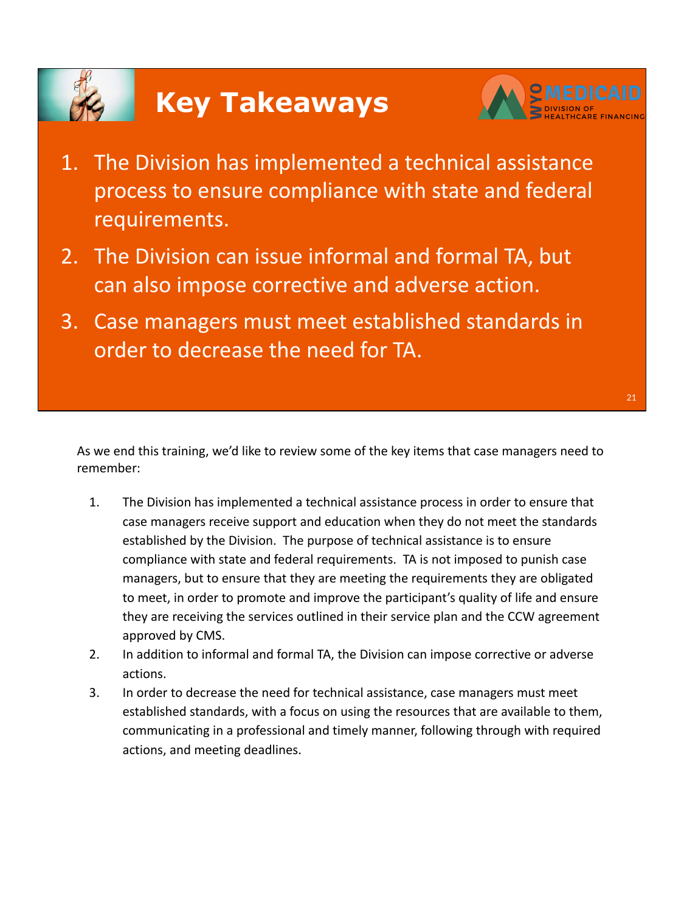# **Key Takeaways**



- 1. The Division has implemented a technical assistance process to ensure compliance with state and federal requirements.
- 2. The Division can issue informal and formal TA, but can also impose corrective and adverse action.
- 3. Case managers must meet established standards in order to decrease the need for TA.

As we end this training, we'd like to review some of the key items that case managers need to remember:

- 1. The Division has implemented a technical assistance process in order to ensure that case managers receive support and education when they do not meet the standards established by the Division. The purpose of technical assistance is to ensure compliance with state and federal requirements. TA is not imposed to punish case managers, but to ensure that they are meeting the requirements they are obligated to meet, in order to promote and improve the participant's quality of life and ensure they are receiving the services outlined in their service plan and the CCW agreement approved by CMS.
- 2. In addition to informal and formal TA, the Division can impose corrective or adverse actions.
- 3. In order to decrease the need for technical assistance, case managers must meet established standards, with a focus on using the resources that are available to them, communicating in a professional and timely manner, following through with required actions, and meeting deadlines.